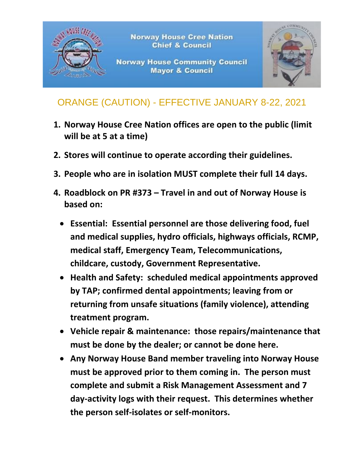

## ORANGE (CAUTION) - EFFECTIVE JANUARY 8-22, 2021

- **1. Norway House Cree Nation offices are open to the public (limit will be at 5 at a time)**
- **2. Stores will continue to operate according their guidelines.**
- **3. People who are in isolation MUST complete their full 14 days.**
- **4. Roadblock on PR #373 – Travel in and out of Norway House is based on:**
	- **Essential: Essential personnel are those delivering food, fuel and medical supplies, hydro officials, highways officials, RCMP, medical staff, Emergency Team, Telecommunications, childcare, custody, Government Representative.**
	- **Health and Safety: scheduled medical appointments approved by TAP; confirmed dental appointments; leaving from or returning from unsafe situations (family violence), attending treatment program.**
	- **Vehicle repair & maintenance: those repairs/maintenance that must be done by the dealer; or cannot be done here.**
	- **Any Norway House Band member traveling into Norway House must be approved prior to them coming in. The person must complete and submit a Risk Management Assessment and 7 day-activity logs with their request. This determines whether the person self-isolates or self-monitors.**